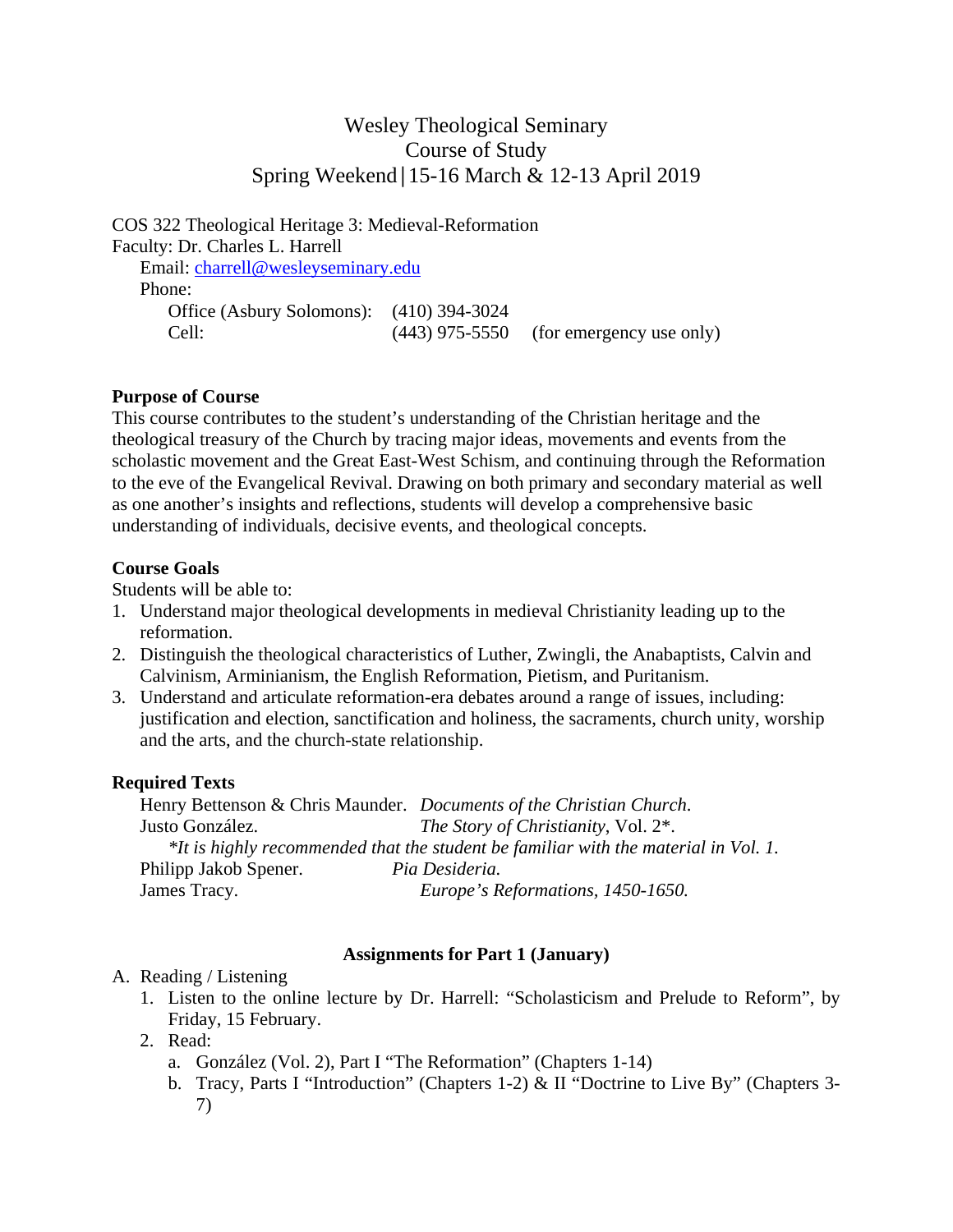# Wesley Theological Seminary Course of Study Spring Weekend│15-16 March & 12-13 April 2019

COS 322 Theological Heritage 3: Medieval-Reformation Faculty: Dr. Charles L. Harrell Email: charrell@wesleyseminary.edu Phone: Office (Asbury Solomons): (410) 394-3024 Cell: (443) 975-5550 (for emergency use only)

# **Purpose of Course**

This course contributes to the student's understanding of the Christian heritage and the theological treasury of the Church by tracing major ideas, movements and events from the scholastic movement and the Great East-West Schism, and continuing through the Reformation to the eve of the Evangelical Revival. Drawing on both primary and secondary material as well as one another's insights and reflections, students will develop a comprehensive basic understanding of individuals, decisive events, and theological concepts.

# **Course Goals**

Students will be able to:

- 1. Understand major theological developments in medieval Christianity leading up to the reformation.
- 2. Distinguish the theological characteristics of Luther, Zwingli, the Anabaptists, Calvin and Calvinism, Arminianism, the English Reformation, Pietism, and Puritanism.
- 3. Understand and articulate reformation-era debates around a range of issues, including: justification and election, sanctification and holiness, the sacraments, church unity, worship and the arts, and the church-state relationship.

# **Required Texts**

 Henry Bettenson & Chris Maunder. *Documents of the Christian Church*. Justo González. *The Story of Christianity*, Vol. 2\*. *\*It is highly recommended that the student be familiar with the material in Vol. 1.* Philipp Jakob Spener. *Pia Desideria.* James Tracy. *Europe's Reformations, 1450-1650.*

# **Assignments for Part 1 (January)**

# A. Reading / Listening

- 1. Listen to the online lecture by Dr. Harrell: "Scholasticism and Prelude to Reform", by Friday, 15 February.
- 2. Read:
	- a. González (Vol. 2), Part I "The Reformation" (Chapters 1-14)
	- b. Tracy, Parts I "Introduction" (Chapters 1-2) & II "Doctrine to Live By" (Chapters 3-7)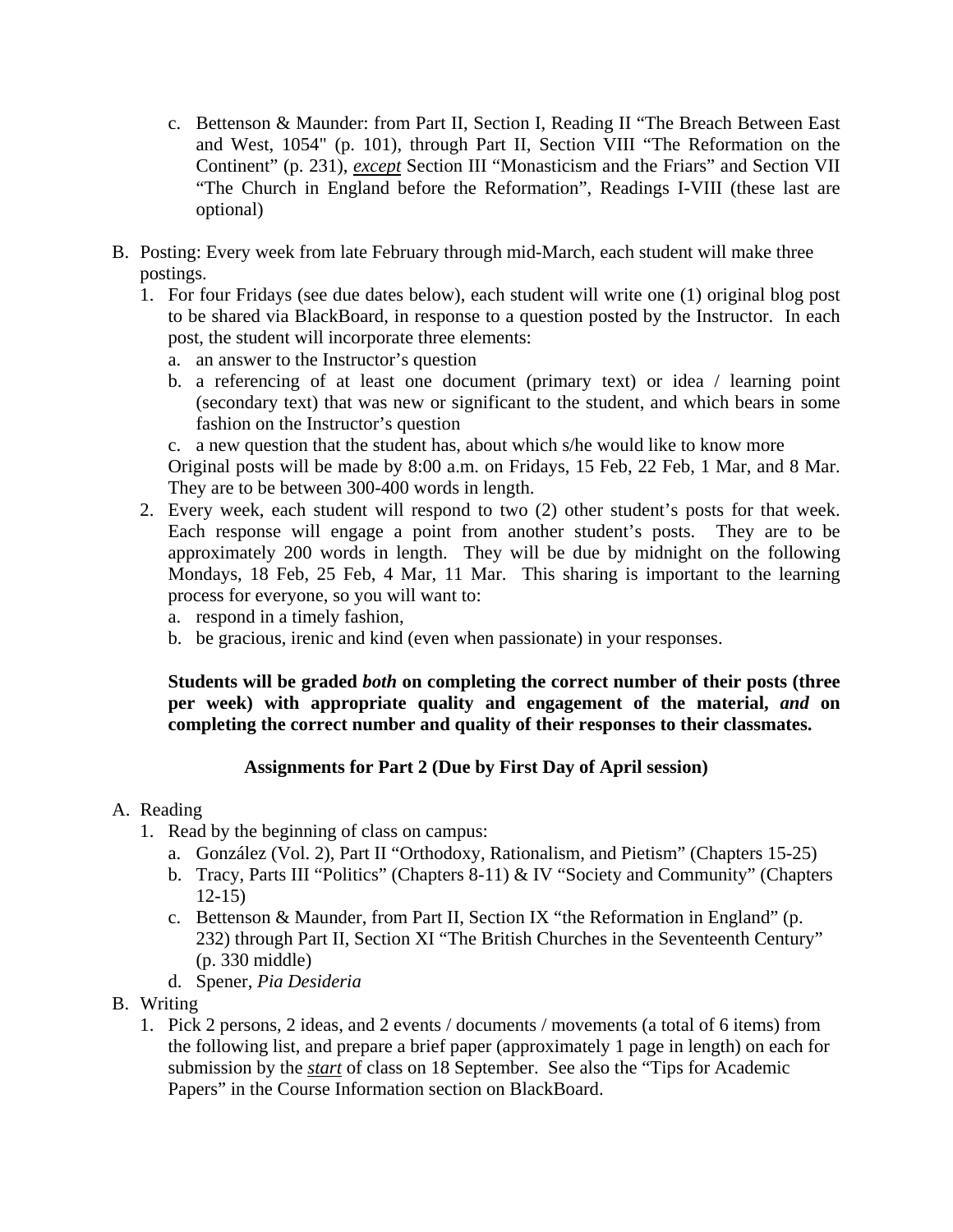- c. Bettenson & Maunder: from Part II, Section I, Reading II "The Breach Between East and West, 1054" (p. 101), through Part II, Section VIII "The Reformation on the Continent" (p. 231), *except* Section III "Monasticism and the Friars" and Section VII "The Church in England before the Reformation", Readings I-VIII (these last are optional)
- B. Posting: Every week from late February through mid-March, each student will make three postings.
	- 1. For four Fridays (see due dates below), each student will write one (1) original blog post to be shared via BlackBoard, in response to a question posted by the Instructor. In each post, the student will incorporate three elements:
		- a. an answer to the Instructor's question
		- b. a referencing of at least one document (primary text) or idea / learning point (secondary text) that was new or significant to the student, and which bears in some fashion on the Instructor's question

c. a new question that the student has, about which s/he would like to know more Original posts will be made by 8:00 a.m. on Fridays, 15 Feb, 22 Feb, 1 Mar, and 8 Mar. They are to be between 300-400 words in length.

- 2. Every week, each student will respond to two (2) other student's posts for that week. Each response will engage a point from another student's posts. They are to be approximately 200 words in length. They will be due by midnight on the following Mondays, 18 Feb, 25 Feb, 4 Mar, 11 Mar. This sharing is important to the learning process for everyone, so you will want to:
	- a. respond in a timely fashion,
	- b. be gracious, irenic and kind (even when passionate) in your responses.

**Students will be graded** *both* **on completing the correct number of their posts (three per week) with appropriate quality and engagement of the material,** *and* **on completing the correct number and quality of their responses to their classmates.**

# **Assignments for Part 2 (Due by First Day of April session)**

# A. Reading

- 1. Read by the beginning of class on campus:
	- a. González (Vol. 2), Part II "Orthodoxy, Rationalism, and Pietism" (Chapters 15-25)
	- b. Tracy, Parts III "Politics" (Chapters 8-11) & IV "Society and Community" (Chapters 12-15)
	- c. Bettenson & Maunder, from Part II, Section IX "the Reformation in England" (p. 232) through Part II, Section XI "The British Churches in the Seventeenth Century" (p. 330 middle)
	- d. Spener, *Pia Desideria*
- B. Writing
	- 1. Pick 2 persons, 2 ideas, and 2 events / documents / movements (a total of 6 items) from the following list, and prepare a brief paper (approximately 1 page in length) on each for submission by the *start* of class on 18 September. See also the "Tips for Academic Papers" in the Course Information section on BlackBoard.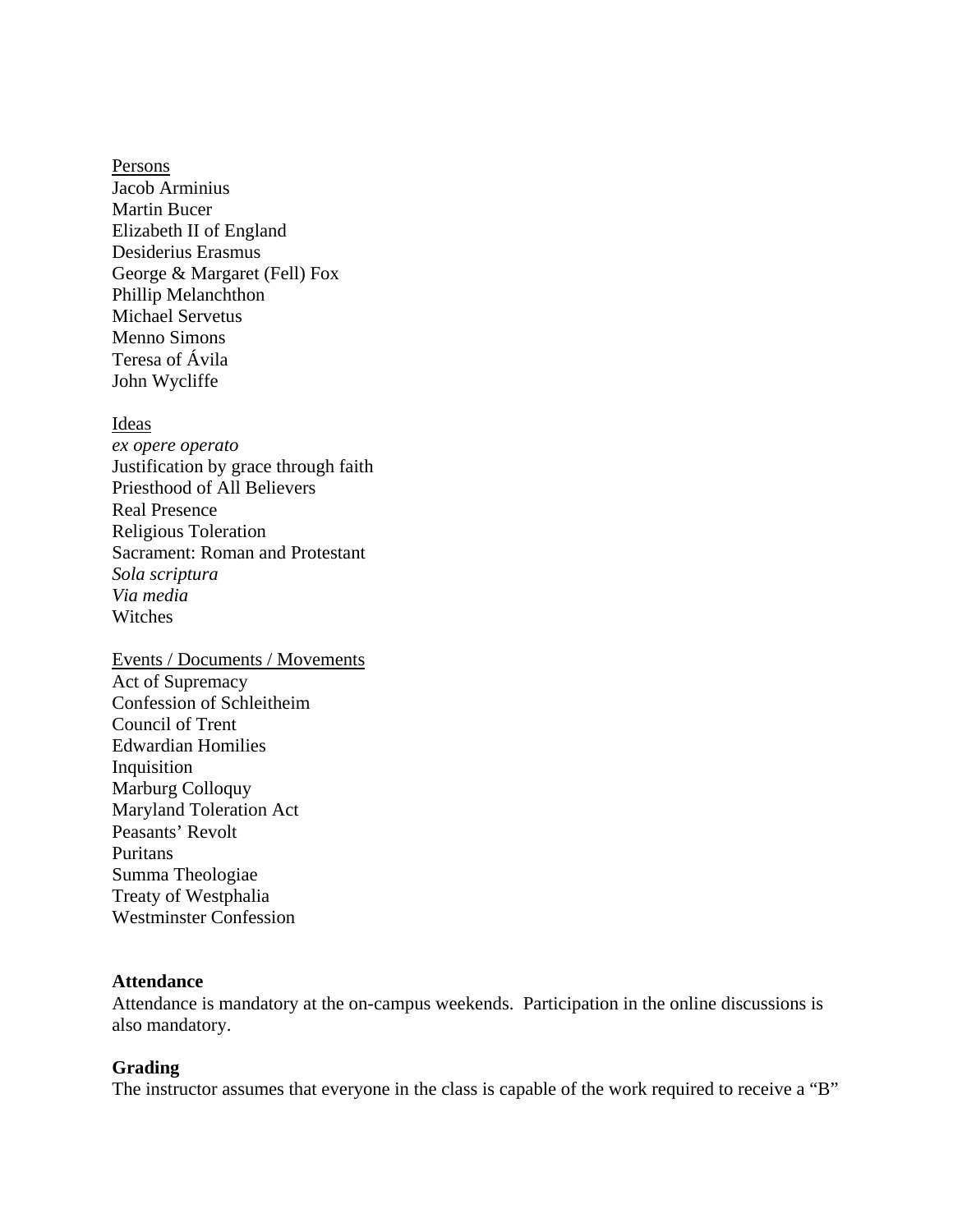Persons Jacob Arminius Martin Bucer Elizabeth II of England Desiderius Erasmus George & Margaret (Fell) Fox Phillip Melanchthon Michael Servetus Menno Simons Teresa of Ávila John Wycliffe

### Ideas

*ex opere operato* Justification by grace through faith Priesthood of All Believers Real Presence Religious Toleration Sacrament: Roman and Protestant *Sola scriptura Via media* Witches

Events / Documents / Movements Act of Supremacy Confession of Schleitheim Council of Trent Edwardian Homilies Inquisition Marburg Colloquy Maryland Toleration Act Peasants' Revolt **Puritans** Summa Theologiae Treaty of Westphalia Westminster Confession

#### **Attendance**

Attendance is mandatory at the on-campus weekends. Participation in the online discussions is also mandatory.

#### **Grading**

The instructor assumes that everyone in the class is capable of the work required to receive a "B"